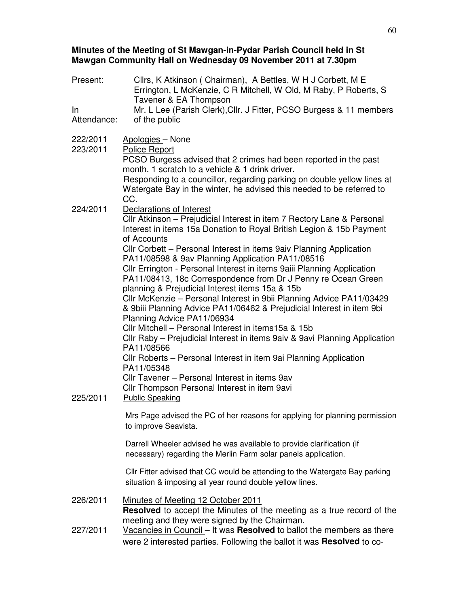### **Minutes of the Meeting of St Mawgan-in-Pydar Parish Council held in St Mawgan Community Hall on Wednesday 09 November 2011 at 7.30pm**

| Present:             | Cllrs, K Atkinson (Chairman), A Bettles, W H J Corbett, M E<br>Errington, L McKenzie, C R Mitchell, W Old, M Raby, P Roberts, S<br>Tavener & EA Thompson                                                                                                                                                                                                                                                                                                                                                                                                                                                                                                                                                                                                                                                                                                                                                                                                                                                                                                                  |  |
|----------------------|---------------------------------------------------------------------------------------------------------------------------------------------------------------------------------------------------------------------------------------------------------------------------------------------------------------------------------------------------------------------------------------------------------------------------------------------------------------------------------------------------------------------------------------------------------------------------------------------------------------------------------------------------------------------------------------------------------------------------------------------------------------------------------------------------------------------------------------------------------------------------------------------------------------------------------------------------------------------------------------------------------------------------------------------------------------------------|--|
| $\ln$<br>Attendance: | Mr. L Lee (Parish Clerk), Cllr. J Fitter, PCSO Burgess & 11 members<br>of the public                                                                                                                                                                                                                                                                                                                                                                                                                                                                                                                                                                                                                                                                                                                                                                                                                                                                                                                                                                                      |  |
| 222/2011<br>223/2011 | Apologies - None<br><b>Police Report</b><br>PCSO Burgess advised that 2 crimes had been reported in the past<br>month. 1 scratch to a vehicle & 1 drink driver.<br>Responding to a councillor, regarding parking on double yellow lines at<br>Watergate Bay in the winter, he advised this needed to be referred to                                                                                                                                                                                                                                                                                                                                                                                                                                                                                                                                                                                                                                                                                                                                                       |  |
| 224/2011<br>225/2011 | CC.<br>Declarations of Interest<br>CIIr Atkinson - Prejudicial Interest in item 7 Rectory Lane & Personal<br>Interest in items 15a Donation to Royal British Legion & 15b Payment<br>of Accounts<br>CIIr Corbett - Personal Interest in items 9aiv Planning Application<br>PA11/08598 & 9av Planning Application PA11/08516<br>Cllr Errington - Personal Interest in items 9aiii Planning Application<br>PA11/08413, 18c Correspondence from Dr J Penny re Ocean Green<br>planning & Prejudicial Interest items 15a & 15b<br>Cllr McKenzie - Personal Interest in 9bii Planning Advice PA11/03429<br>& 9biii Planning Advice PA11/06462 & Prejudicial Interest in item 9bi<br>Planning Advice PA11/06934<br>Cllr Mitchell - Personal Interest in items15a & 15b<br>CIIr Raby - Prejudicial Interest in items 9aiv & 9avi Planning Application<br>PA11/08566<br>CIIr Roberts - Personal Interest in item 9ai Planning Application<br>PA11/05348<br>CIIr Tavener - Personal Interest in items 9av<br>Cllr Thompson Personal Interest in item 9avi<br><b>Public Speaking</b> |  |
|                      | Mrs Page advised the PC of her reasons for applying for planning permission<br>to improve Seavista.<br>Darrell Wheeler advised he was available to provide clarification (if                                                                                                                                                                                                                                                                                                                                                                                                                                                                                                                                                                                                                                                                                                                                                                                                                                                                                              |  |
|                      | necessary) regarding the Merlin Farm solar panels application.<br>Cllr Fitter advised that CC would be attending to the Watergate Bay parking<br>situation & imposing all year round double yellow lines.                                                                                                                                                                                                                                                                                                                                                                                                                                                                                                                                                                                                                                                                                                                                                                                                                                                                 |  |
| 226/2011             | Minutes of Meeting 12 October 2011<br><b>Resolved</b> to accept the Minutes of the meeting as a true record of the<br>meeting and they were signed by the Chairman.                                                                                                                                                                                                                                                                                                                                                                                                                                                                                                                                                                                                                                                                                                                                                                                                                                                                                                       |  |
| 227/2011             | Vacancies in Council – It was Resolved to ballot the members as there<br>were 2 interested parties. Following the ballot it was Resolved to co-                                                                                                                                                                                                                                                                                                                                                                                                                                                                                                                                                                                                                                                                                                                                                                                                                                                                                                                           |  |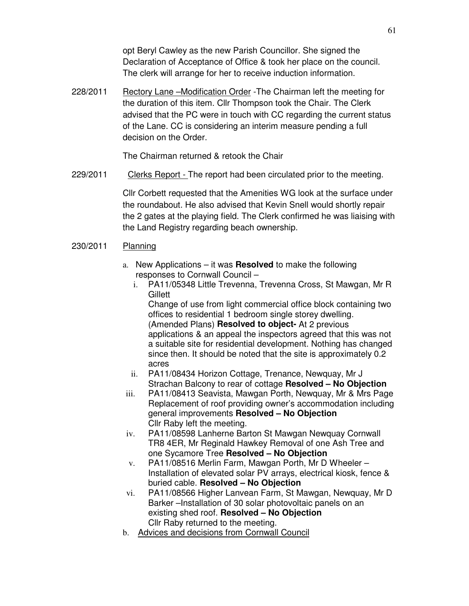opt Beryl Cawley as the new Parish Councillor. She signed the Declaration of Acceptance of Office & took her place on the council. The clerk will arrange for her to receive induction information.

228/2011 Rectory Lane -Modification Order -The Chairman left the meeting for the duration of this item. Cllr Thompson took the Chair. The Clerk advised that the PC were in touch with CC regarding the current status of the Lane. CC is considering an interim measure pending a full decision on the Order.

The Chairman returned & retook the Chair

229/2011 Clerks Report - The report had been circulated prior to the meeting.

Cllr Corbett requested that the Amenities WG look at the surface under the roundabout. He also advised that Kevin Snell would shortly repair the 2 gates at the playing field. The Clerk confirmed he was liaising with the Land Registry regarding beach ownership.

#### 230/2011 Planning

- a. New Applications it was **Resolved** to make the following responses to Cornwall Council –
	- i. PA11/05348 Little Trevenna, Trevenna Cross, St Mawgan, Mr R **Gillett**

Change of use from light commercial office block containing two offices to residential 1 bedroom single storey dwelling. (Amended Plans) **Resolved to object-** At 2 previous applications & an appeal the inspectors agreed that this was not a suitable site for residential development. Nothing has changed since then. It should be noted that the site is approximately 0.2 acres

- ii. PA11/08434 Horizon Cottage, Trenance, Newquay, Mr J Strachan Balcony to rear of cottage **Resolved – No Objection**
- iii. PA11/08413 Seavista, Mawgan Porth, Newquay, Mr & Mrs Page Replacement of roof providing owner's accommodation including general improvements **Resolved – No Objection** Cllr Raby left the meeting.
- iv. PA11/08598 Lanherne Barton St Mawgan Newquay Cornwall TR8 4ER, Mr Reginald Hawkey Removal of one Ash Tree and one Sycamore Tree **Resolved – No Objection**
- v. PA11/08516 Merlin Farm, Mawgan Porth, Mr D Wheeler Installation of elevated solar PV arrays, electrical kiosk, fence & buried cable. **Resolved – No Objection**
- vi. PA11/08566 Higher Lanvean Farm, St Mawgan, Newquay, Mr D Barker –Installation of 30 solar photovoltaic panels on an existing shed roof. **Resolved – No Objection** Cllr Raby returned to the meeting.
- b. Advices and decisions from Cornwall Council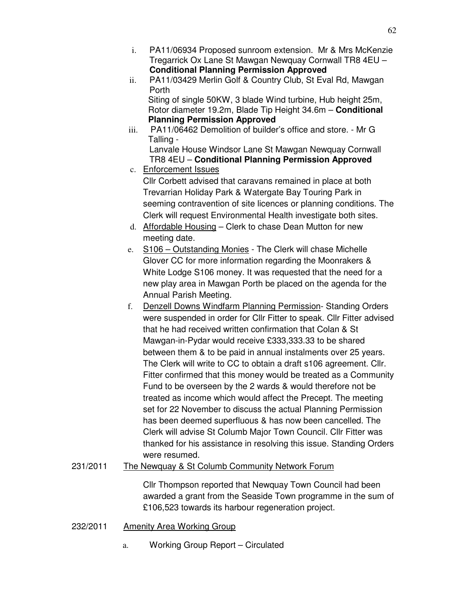- i. PA11/06934 Proposed sunroom extension. Mr & Mrs McKenzie Tregarrick Ox Lane St Mawgan Newquay Cornwall TR8 4EU – **Conditional Planning Permission Approved**
- ii. PA11/03429 Merlin Golf & Country Club, St Eval Rd, Mawgan Porth Siting of single 50KW, 3 blade Wind turbine, Hub height 25m, Rotor diameter 19.2m, Blade Tip Height 34.6m – **Conditional Planning Permission Approved**
- iii. PA11/06462 Demolition of builder's office and store. Mr G Talling -

Lanvale House Windsor Lane St Mawgan Newquay Cornwall TR8 4EU – **Conditional Planning Permission Approved**

c. Enforcement Issues Cllr Corbett advised that caravans remained in place at both

Trevarrian Holiday Park & Watergate Bay Touring Park in seeming contravention of site licences or planning conditions. The Clerk will request Environmental Health investigate both sites.

- d. Affordable Housing Clerk to chase Dean Mutton for new meeting date.
- e. S106 Outstanding Monies The Clerk will chase Michelle Glover CC for more information regarding the Moonrakers & White Lodge S106 money. It was requested that the need for a new play area in Mawgan Porth be placed on the agenda for the Annual Parish Meeting.
- f. Denzell Downs Windfarm Planning Permission- Standing Orders were suspended in order for Cllr Fitter to speak. Cllr Fitter advised that he had received written confirmation that Colan & St Mawgan-in-Pydar would receive £333,333.33 to be shared between them & to be paid in annual instalments over 25 years. The Clerk will write to CC to obtain a draft s106 agreement. Cllr. Fitter confirmed that this money would be treated as a Community Fund to be overseen by the 2 wards & would therefore not be treated as income which would affect the Precept. The meeting set for 22 November to discuss the actual Planning Permission has been deemed superfluous & has now been cancelled. The Clerk will advise St Columb Major Town Council. Cllr Fitter was thanked for his assistance in resolving this issue. Standing Orders were resumed.
- 231/2011 The Newquay & St Columb Community Network Forum

Cllr Thompson reported that Newquay Town Council had been awarded a grant from the Seaside Town programme in the sum of £106,523 towards its harbour regeneration project.

- 232/2011 Amenity Area Working Group
	- a. Working Group Report Circulated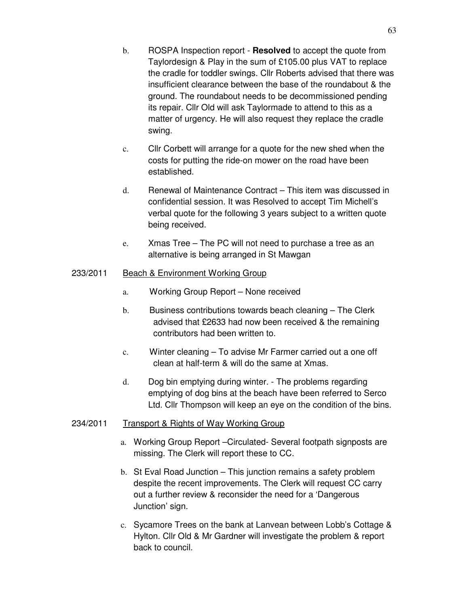- b. ROSPA Inspection report **Resolved** to accept the quote from Taylordesign & Play in the sum of £105.00 plus VAT to replace the cradle for toddler swings. Cllr Roberts advised that there was insufficient clearance between the base of the roundabout & the ground. The roundabout needs to be decommissioned pending its repair. Cllr Old will ask Taylormade to attend to this as a matter of urgency. He will also request they replace the cradle swing.
- c. Cllr Corbett will arrange for a quote for the new shed when the costs for putting the ride-on mower on the road have been established.
- d. Renewal of Maintenance Contract This item was discussed in confidential session. It was Resolved to accept Tim Michell's verbal quote for the following 3 years subject to a written quote being received.
- e. Xmas Tree The PC will not need to purchase a tree as an alternative is being arranged in St Mawgan

## 233/2011 Beach & Environment Working Group

- a. Working Group Report None received
- b. Business contributions towards beach cleaning The Clerk advised that £2633 had now been received & the remaining contributors had been written to.
- c. Winter cleaning To advise Mr Farmer carried out a one off clean at half-term & will do the same at Xmas.
- d. Dog bin emptying during winter. The problems regarding emptying of dog bins at the beach have been referred to Serco Ltd. Cllr Thompson will keep an eye on the condition of the bins.

### 234/2011 Transport & Rights of Way Working Group

- a. Working Group Report –Circulated- Several footpath signposts are missing. The Clerk will report these to CC.
- b. St Eval Road Junction This junction remains a safety problem despite the recent improvements. The Clerk will request CC carry out a further review & reconsider the need for a 'Dangerous Junction' sign.
- c. Sycamore Trees on the bank at Lanvean between Lobb's Cottage & Hylton. Cllr Old & Mr Gardner will investigate the problem & report back to council.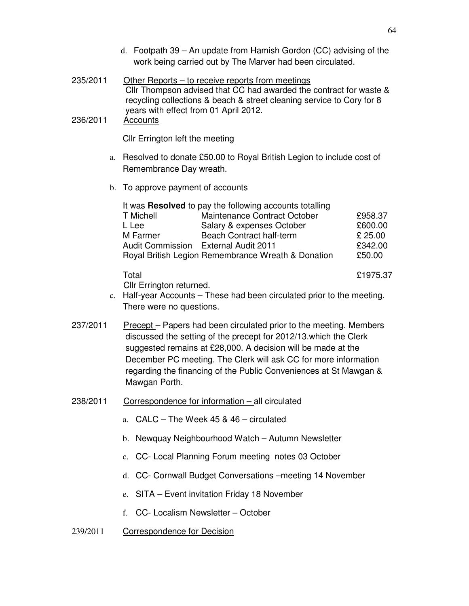- d. Footpath 39 An update from Hamish Gordon (CC) advising of the work being carried out by The Marver had been circulated.
- 235/2011 Other Reports to receive reports from meetings Cllr Thompson advised that CC had awarded the contract for waste & recycling collections & beach & street cleaning service to Cory for 8 years with effect from 01 April 2012.

### 236/2011 Accounts

Cllr Errington left the meeting

- a. Resolved to donate £50.00 to Royal British Legion to include cost of Remembrance Day wreath.
- b. To approve payment of accounts

| It was Resolved to pay the following accounts totalling |                                      |         |  |
|---------------------------------------------------------|--------------------------------------|---------|--|
| T Michell                                               | Maintenance Contract October         | £958.37 |  |
| L Lee                                                   | Salary & expenses October            | £600.00 |  |
| M Farmer                                                | <b>Beach Contract half-term</b>      | £ 25.00 |  |
|                                                         | Audit Commission External Audit 2011 | £342.00 |  |
| Royal British Legion Remembrance Wreath & Donation      | £50.00                               |         |  |

Total £1975.37

Cllr Errington returned.

- c. Half-year Accounts These had been circulated prior to the meeting. There were no questions.
- 237/2011 Precept Papers had been circulated prior to the meeting. Members discussed the setting of the precept for 2012/13.which the Clerk suggested remains at £28,000. A decision will be made at the December PC meeting. The Clerk will ask CC for more information regarding the financing of the Public Conveniences at St Mawgan & Mawgan Porth.
- 238/2011 Correspondence for information all circulated
	- a. CALC The Week 45 & 46 circulated
	- b. Newquay Neighbourhood Watch Autumn Newsletter
	- c. CC- Local Planning Forum meeting notes 03 October
	- d. CC- Cornwall Budget Conversations –meeting 14 November
	- e. SITA Event invitation Friday 18 November
	- f. CC- Localism Newsletter October
- 239/2011 Correspondence for Decision